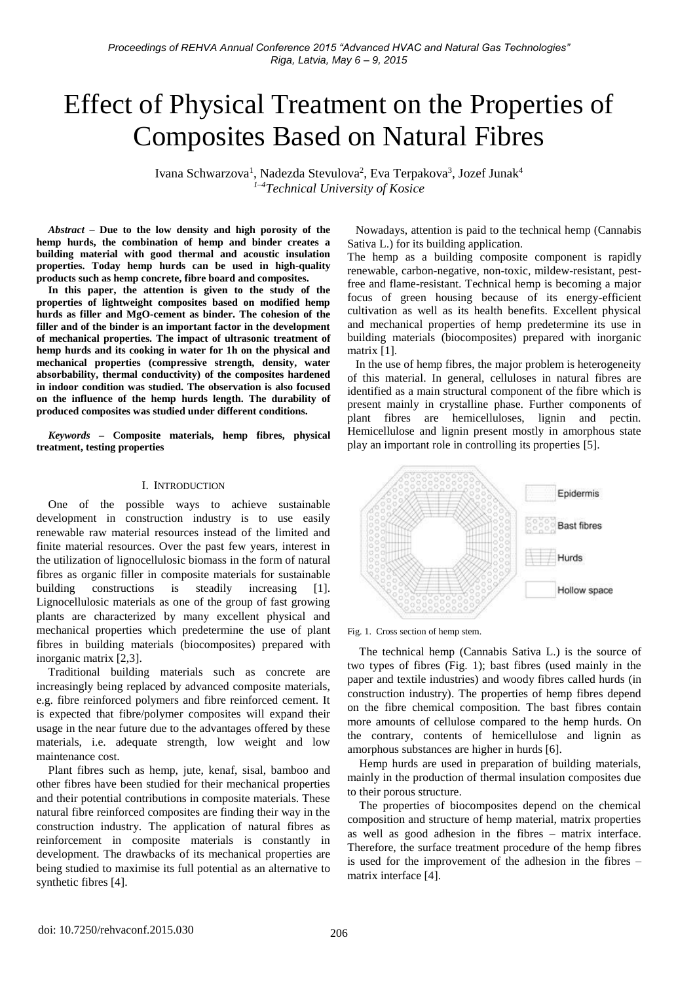# Effect of Physical Treatment on the Properties of Composites Based on Natural Fibres

Ivana Schwarzova<sup>1</sup>, Nadezda Stevulova<sup>2</sup>, Eva Terpakova<sup>3</sup>, Jozef Junak<sup>4</sup> *1–4Technical University of Kosice*

*Abstract –* **Due to the low density and high porosity of the hemp hurds, the combination of hemp and binder creates a building material with good thermal and acoustic insulation properties. Today hemp hurds can be used in high-quality products such as hemp concrete, fibre board and composites.**

**In this paper, the attention is given to the study of the properties of lightweight composites based on modified hemp hurds as filler and MgO-cement as binder. The cohesion of the filler and of the binder is an important factor in the development of mechanical properties. The impact of ultrasonic treatment of hemp hurds and its cooking in water for 1h on the physical and mechanical properties (compressive strength, density, water absorbability, thermal conductivity) of the composites hardened in indoor condition was studied. The observation is also focused on the influence of the hemp hurds length. The durability of produced composites was studied under different conditions.**

*Keywords* **– Composite materials, hemp fibres, physical treatment, testing properties**

#### I. INTRODUCTION

One of the possible ways to achieve sustainable development in construction industry is to use easily renewable raw material resources instead of the limited and finite material resources. Over the past few years, interest in the utilization of lignocellulosic biomass in the form of natural fibres as organic filler in composite materials for sustainable building constructions is steadily increasing [1]. Lignocellulosic materials as one of the group of fast growing plants are characterized by many excellent physical and mechanical properties which predetermine the use of plant fibres in building materials (biocomposites) prepared with inorganic matrix [2,3].

Traditional building materials such as concrete are increasingly being replaced by advanced composite materials, e.g. fibre reinforced polymers and fibre reinforced cement. It is expected that fibre/polymer composites will expand their usage in the near future due to the advantages offered by these materials, i.e. adequate strength, low weight and low maintenance cost.

Plant fibres such as hemp, jute, kenaf, sisal, bamboo and other fibres have been studied for their mechanical properties and their potential contributions in composite materials. These natural fibre reinforced composites are finding their way in the construction industry. The application of natural fibres as reinforcement in composite materials is constantly in development. The drawbacks of its mechanical properties are being studied to maximise its full potential as an alternative to synthetic fibres [4].

Nowadays, attention is paid to the technical hemp (Cannabis Sativa L.) for its building application.

The hemp as a building composite component is rapidly renewable, carbon-negative, non-toxic, mildew-resistant, pestfree and flame-resistant. Technical hemp is becoming a major focus of green housing because of its energy-efficient cultivation as well as its health benefits. Excellent physical and mechanical properties of hemp predetermine its use in building materials (biocomposites) prepared with inorganic matrix [1].

In the use of hemp fibres, the major problem is heterogeneity of this material. In general, celluloses in natural fibres are identified as a main structural component of the fibre which is present mainly in crystalline phase. Further components of plant fibres are hemicelluloses, lignin and pectin. Hemicellulose and lignin present mostly in amorphous state play an important role in controlling its properties [5].



Fig. 1. Cross section of hemp stem.

The technical hemp (Cannabis Sativa L.) is the source of two types of fibres (Fig. 1); bast fibres (used mainly in the paper and textile industries) and woody fibres called hurds (in construction industry). The properties of hemp fibres depend on the fibre chemical composition. The bast fibres contain more amounts of cellulose compared to the hemp hurds. On the contrary, contents of hemicellulose and lignin as amorphous substances are higher in hurds [6].

Hemp hurds are used in preparation of building materials, mainly in the production of thermal insulation composites due to their porous structure.

The properties of biocomposites depend on the chemical composition and structure of hemp material, matrix properties as well as good adhesion in the fibres – matrix interface. Therefore, the surface treatment procedure of the hemp fibres is used for the improvement of the adhesion in the fibres – matrix interface [4].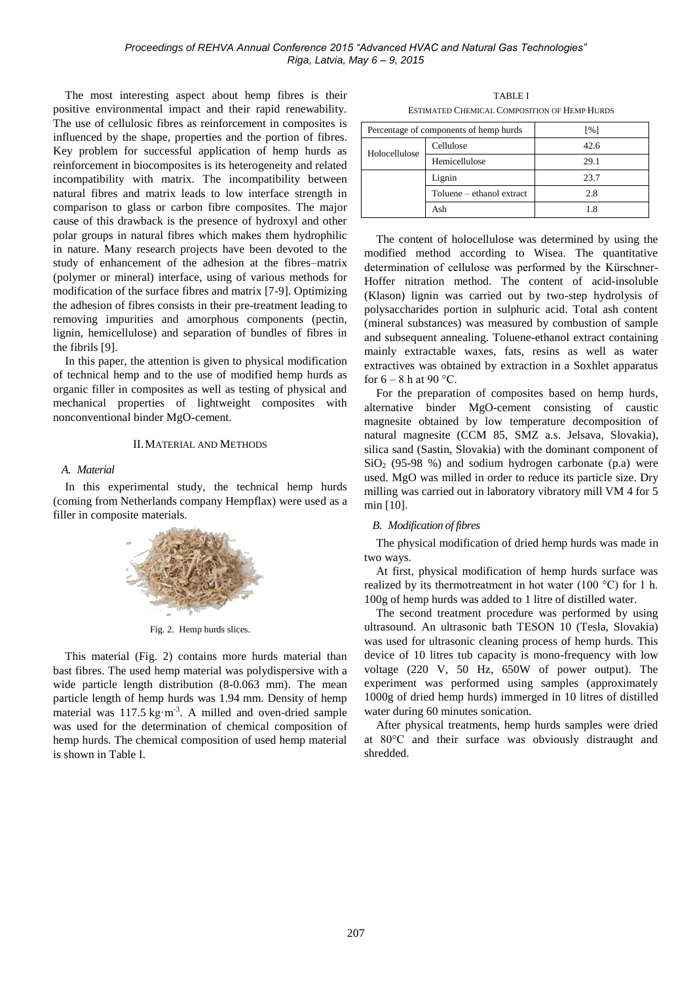The most interesting aspect about hemp fibres is their positive environmental impact and their rapid renewability. The use of cellulosic fibres as reinforcement in composites is influenced by the shape, properties and the portion of fibres. Key problem for successful application of hemp hurds as reinforcement in biocomposites is its heterogeneity and related incompatibility with matrix. The incompatibility between natural fibres and matrix leads to low interface strength in comparison to glass or carbon fibre composites. The major cause of this drawback is the presence of hydroxyl and other polar groups in natural fibres which makes them hydrophilic in nature. Many research projects have been devoted to the study of enhancement of the adhesion at the fibres–matrix (polymer or mineral) interface, using of various methods for modification of the surface fibres and matrix [7-9]. Optimizing the adhesion of fibres consists in their pre-treatment leading to removing impurities and amorphous components (pectin, lignin, hemicellulose) and separation of bundles of fibres in the fibrils [9].

In this paper, the attention is given to physical modification of technical hemp and to the use of modified hemp hurds as organic filler in composites as well as testing of physical and mechanical properties of lightweight composites with nonconventional binder MgO-cement.

## II.MATERIAL AND METHODS

## *A. Material*

In this experimental study, the technical hemp hurds (coming from Netherlands company Hempflax) were used as a filler in composite materials.



Fig. 2. Hemp hurds slices.

This material (Fig. 2) contains more hurds material than bast fibres. The used hemp material was polydispersive with a wide particle length distribution (8-0.063 mm). The mean particle length of hemp hurds was 1.94 mm. Density of hemp material was 117.5 kg·m<sup>-3</sup>. A milled and oven-dried sample was used for the determination of chemical composition of hemp hurds. The chemical composition of used hemp material is shown in Table I.

TABLE I ESTIMATED CHEMICAL COMPOSITION OF HEMP HURDS

| Percentage of components of hemp hurds |                           | $\lceil \% \rceil$ |
|----------------------------------------|---------------------------|--------------------|
| Holocellulose                          | Cellulose                 | 42.6               |
|                                        | Hemicellulose             | 29.1               |
|                                        | Lignin                    | 23.7               |
|                                        | Toluene – ethanol extract | 2.8                |
|                                        | Ash                       | 18                 |

The content of holocellulose was determined by using the modified method according to Wisea. The quantitative determination of cellulose was performed by the Kürschner-Hoffer nitration method. The content of acid-insoluble (Klason) lignin was carried out by two-step hydrolysis of polysaccharides portion in sulphuric acid. Total ash content (mineral substances) was measured by combustion of sample and subsequent annealing. Toluene-ethanol extract containing mainly extractable waxes, fats, resins as well as water extractives was obtained by extraction in a Soxhlet apparatus for  $6 - 8$  h at  $90^{\circ}$ C.

For the preparation of composites based on hemp hurds, alternative binder MgO-cement consisting of caustic magnesite obtained by low temperature decomposition of natural magnesite (CCM 85, SMZ a.s. Jelsava, Slovakia), silica sand (Sastin, Slovakia) with the dominant component of  $SiO<sub>2</sub>$  (95-98 %) and sodium hydrogen carbonate (p.a) were used. MgO was milled in order to reduce its particle size. Dry milling was carried out in laboratory vibratory mill VM 4 for 5 min [10].

# *B. Modification of fibres*

The physical modification of dried hemp hurds was made in two ways.

At first, physical modification of hemp hurds surface was realized by its thermotreatment in hot water (100 °C) for 1 h. 100g of hemp hurds was added to 1 litre of distilled water.

The second treatment procedure was performed by using ultrasound. An ultrasonic bath TESON 10 (Tesla, Slovakia) was used for ultrasonic cleaning process of hemp hurds. This device of 10 litres tub capacity is mono-frequency with low voltage (220 V, 50 Hz, 650W of power output). The experiment was performed using samples (approximately 1000g of dried hemp hurds) immerged in 10 litres of distilled water during 60 minutes sonication.

After physical treatments, hemp hurds samples were dried at 80°C and their surface was obviously distraught and shredded.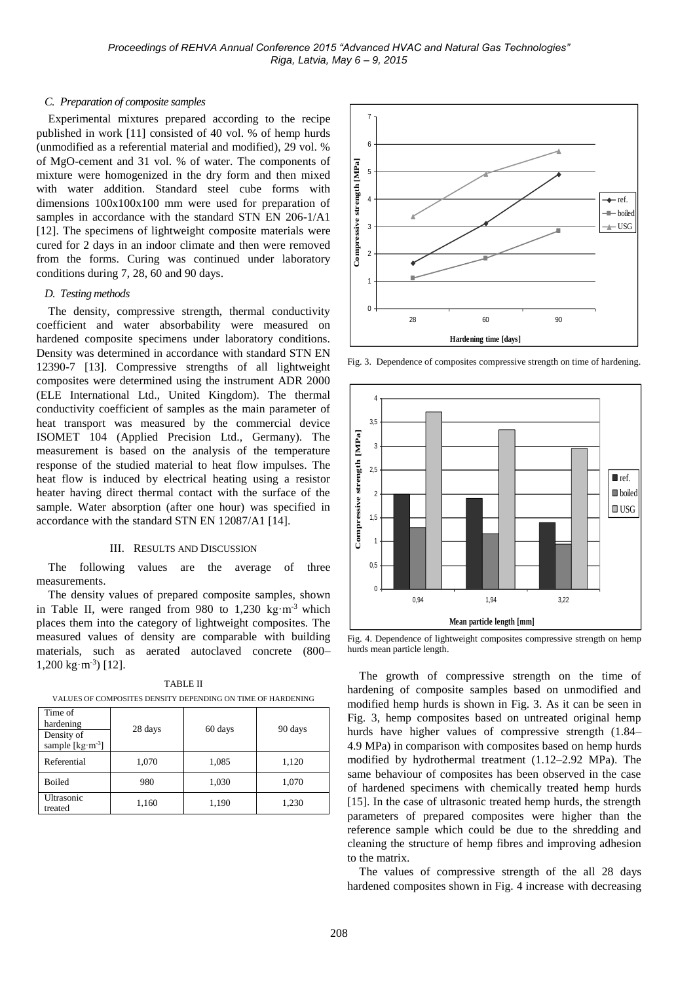# *C. Preparation of composite samples*

Experimental mixtures prepared according to the recipe published in work [11] consisted of 40 vol. % of hemp hurds (unmodified as a referential material and modified), 29 vol. % of MgO-cement and 31 vol. % of water. The components of mixture were homogenized in the dry form and then mixed with water addition. Standard steel cube forms with dimensions 100x100x100 mm were used for preparation of samples in accordance with the standard STN EN 206-1/A1 [12]. The specimens of lightweight composite materials were cured for 2 days in an indoor climate and then were removed from the forms. Curing was continued under laboratory conditions during 7, 28, 60 and 90 days.

## *D. Testing methods*

The density, compressive strength, thermal conductivity coefficient and water absorbability were measured on hardened composite specimens under laboratory conditions. Density was determined in accordance with standard STN EN 12390-7 [13]. Compressive strengths of all lightweight composites were determined using the instrument ADR 2000 (ELE International Ltd., United Kingdom). The thermal conductivity coefficient of samples as the main parameter of heat transport was measured by the commercial device ISOMET 104 (Applied Precision Ltd., Germany). The measurement is based on the analysis of the temperature response of the studied material to heat flow impulses. The heat flow is induced by electrical heating using a resistor heater having direct thermal contact with the surface of the sample. Water absorption (after one hour) was specified in accordance with the standard STN EN 12087/A1 [14].

#### III. RESULTS AND DISCUSSION

The following values are the average of three measurements.

The density values of prepared composite samples, shown in Table II, were ranged from 980 to 1,230 kg·m-3 which places them into the category of lightweight composites. The measured values of density are comparable with building materials, such as aerated autoclaved concrete (800– 1,200 kg·m-3 ) [12].

| Time of<br>hardening<br>Density of<br>sample $[\text{kg} \cdot \text{m}^{-3}]$ | 28 days | 60 days | 90 days |
|--------------------------------------------------------------------------------|---------|---------|---------|
| Referential                                                                    | 1,070   | 1,085   | 1,120   |
| <b>Boiled</b>                                                                  | 980     | 1,030   | 1,070   |
| Ultrasonic<br>treated                                                          | 1,160   | 1,190   | 1,230   |

TABLE II VALUES OF COMPOSITES DENSITY DEPENDING ON TIME OF HARDENING



Fig. 3. Dependence of composites compressive strength on time of hardening.



Fig. 4. Dependence of lightweight composites compressive strength on hemp hurds mean particle length.

The growth of compressive strength on the time of hardening of composite samples based on unmodified and modified hemp hurds is shown in Fig. 3. As it can be seen in Fig. 3, hemp composites based on untreated original hemp hurds have higher values of compressive strength (1.84– 4.9 MPa) in comparison with composites based on hemp hurds modified by hydrothermal treatment (1.12–2.92 MPa). The same behaviour of composites has been observed in the case of hardened specimens with chemically treated hemp hurds [15]. In the case of ultrasonic treated hemp hurds, the strength parameters of prepared composites were higher than the reference sample which could be due to the shredding and cleaning the structure of hemp fibres and improving adhesion to the matrix.

The values of compressive strength of the all 28 days hardened composites shown in Fig. 4 increase with decreasing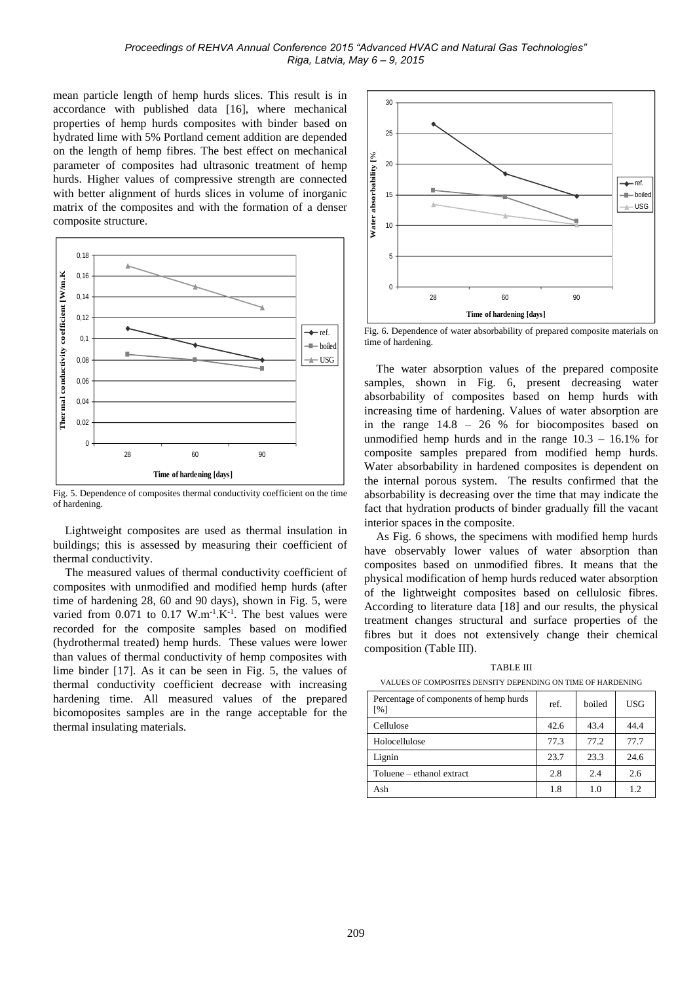mean particle length of hemp hurds slices. This result is in accordance with published data [16], where mechanical properties of hemp hurds composites with binder based on hydrated lime with 5% Portland cement addition are depended on the length of hemp fibres. The best effect on mechanical parameter of composites had ultrasonic treatment of hemp hurds. Higher values of compressive strength are connected with better alignment of hurds slices in volume of inorganic matrix of the composites and with the formation of a denser composite structure.



Fig. 5. Dependence of composites thermal conductivity coefficient on the time of hardening.

Lightweight composites are used as thermal insulation in buildings; this is assessed by measuring their coefficient of thermal conductivity.

The measured values of thermal conductivity coefficient of composites with unmodified and modified hemp hurds (after time of hardening 28, 60 and 90 days), shown in Fig. 5, were varied from  $0.071$  to  $0.17$  W.m<sup>-1</sup>.K<sup>-1</sup>. The best values were recorded for the composite samples based on modified (hydrothermal treated) hemp hurds. These values were lower than values of thermal conductivity of hemp composites with lime binder [17]. As it can be seen in Fig. 5, the values of thermal conductivity coefficient decrease with increasing hardening time. All measured values of the prepared bicomoposites samples are in the range acceptable for the thermal insulating materials.



Fig. 6. Dependence of water absorbability of prepared composite materials on time of hardening.

The water absorption values of the prepared composite samples, shown in Fig. 6, present decreasing water absorbability of composites based on hemp hurds with increasing time of hardening. Values of water absorption are in the range 14.8 – 26 % for biocomposites based on unmodified hemp hurds and in the range 10.3 – 16.1% for composite samples prepared from modified hemp hurds. Water absorbability in hardened composites is dependent on the internal porous system. The results confirmed that the absorbability is decreasing over the time that may indicate the fact that hydration products of binder gradually fill the vacant interior spaces in the composite.

As Fig. 6 shows, the specimens with modified hemp hurds have observably lower values of water absorption than composites based on unmodified fibres. It means that the physical modification of hemp hurds reduced water absorption of the lightweight composites based on cellulosic fibres. According to literature data [18] and our results, the physical treatment changes structural and surface properties of the fibres but it does not extensively change their chemical composition (Table III).

TABLE III VALUES OF COMPOSITES DENSITY DEPENDING ON TIME OF HARDENING

| Percentage of components of hemp hurds<br>$\lceil \% \rceil$ | ref. | boiled | <b>USG</b> |  |  |  |
|--------------------------------------------------------------|------|--------|------------|--|--|--|
| Cellulose                                                    | 42.6 | 43.4   | 44.4       |  |  |  |
| Holocellulose                                                | 77.3 | 77.2   | 77.7       |  |  |  |
| Lignin                                                       | 23.7 | 23.3   | 24.6       |  |  |  |
| Toluene – ethanol extract                                    | 2.8  | 2.4    | 2.6        |  |  |  |
| Ash                                                          | 1.8  | 1.0    | 1.2        |  |  |  |